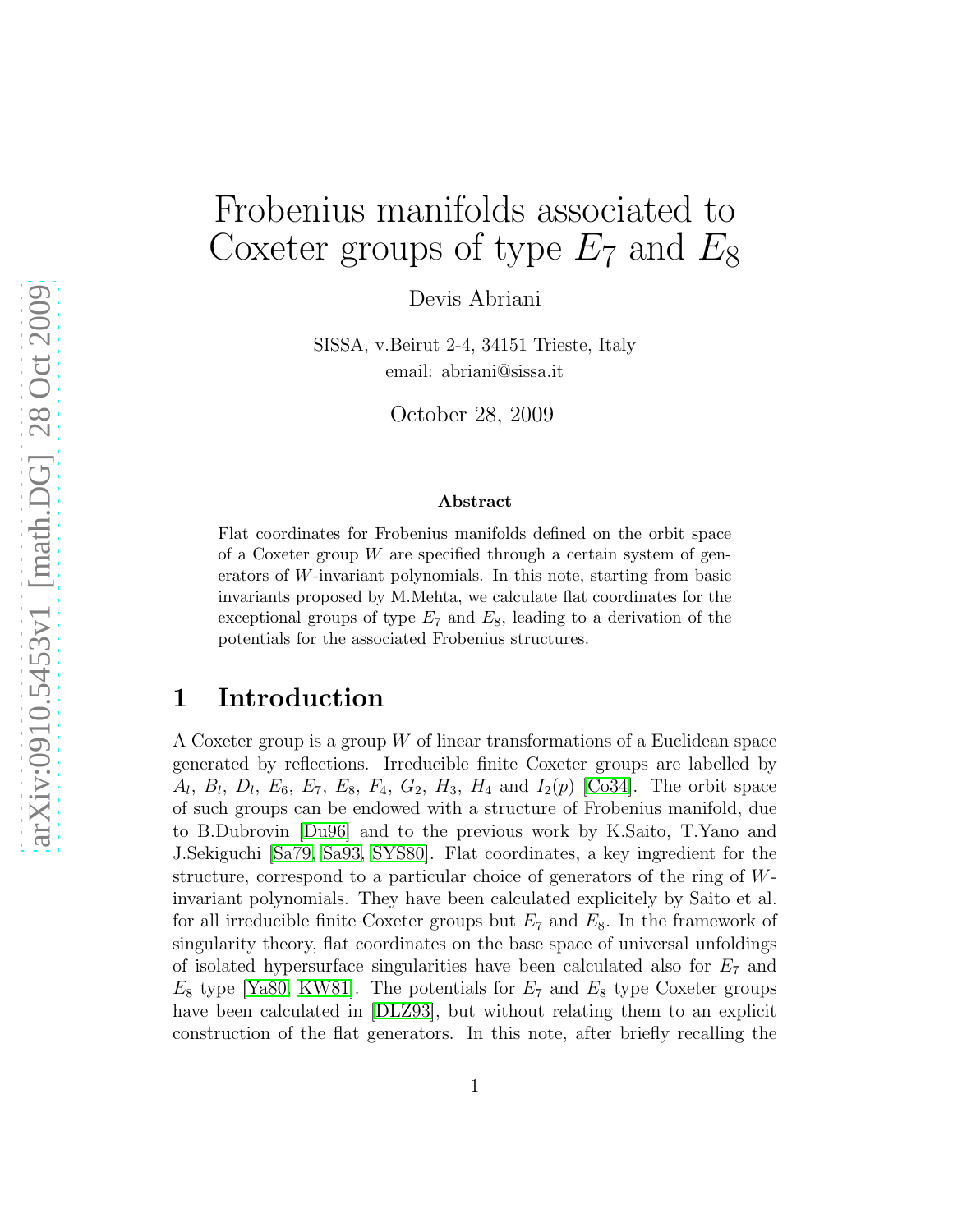# Frobenius manifolds associated to Coxeter groups of type  $E_7$  and  $E_8$

Devis Abriani

SISSA, v.Beirut 2-4, 34151 Trieste, Italy email: abriani@sissa.it

October 28, 2009

#### Abstract

Flat coordinates for Frobenius manifolds defined on the orbit space of a Coxeter group  $W$  are specified through a certain system of generators of W-invariant polynomials. In this note, starting from basic invariants proposed by M.Mehta, we calculate flat coordinates for the exceptional groups of type  $E_7$  and  $E_8$ , leading to a derivation of the potentials for the associated Frobenius structures.

## 1 Introduction

A Coxeter group is a group  $W$  of linear transformations of a Euclidean space generated by reflections. Irreducible finite Coxeter groups are labelled by  $A_l, B_l, D_l, E_6, E_7, E_8, F_4, G_2, H_3, H_4 \text{ and } I_2(p)$  [\[Co34\]](#page-12-0). The orbit space of such groups can be endowed with a structure of Frobenius manifold, due to B.Dubrovin [\[Du96\]](#page-12-1) and to the previous work by K.Saito, T.Yano and J.Sekiguchi [\[Sa79,](#page-12-2) [Sa93,](#page-12-3) [SYS80\]](#page-12-4). Flat coordinates, a key ingredient for the structure, correspond to a particular choice of generators of the ring of Winvariant polynomials. They have been calculated explicitely by Saito et al. for all irreducible finite Coxeter groups but  $E_7$  and  $E_8$ . In the framework of singularity theory, flat coordinates on the base space of universal unfoldings of isolated hypersurface singularities have been calculated also for  $E<sub>7</sub>$  and  $E_8$  type [\[Ya80,](#page-12-5) [KW81\]](#page-12-6). The potentials for  $E_7$  and  $E_8$  type Coxeter groups have been calculated in [\[DLZ93\]](#page-12-7), but without relating them to an explicit construction of the flat generators. In this note, after briefly recalling the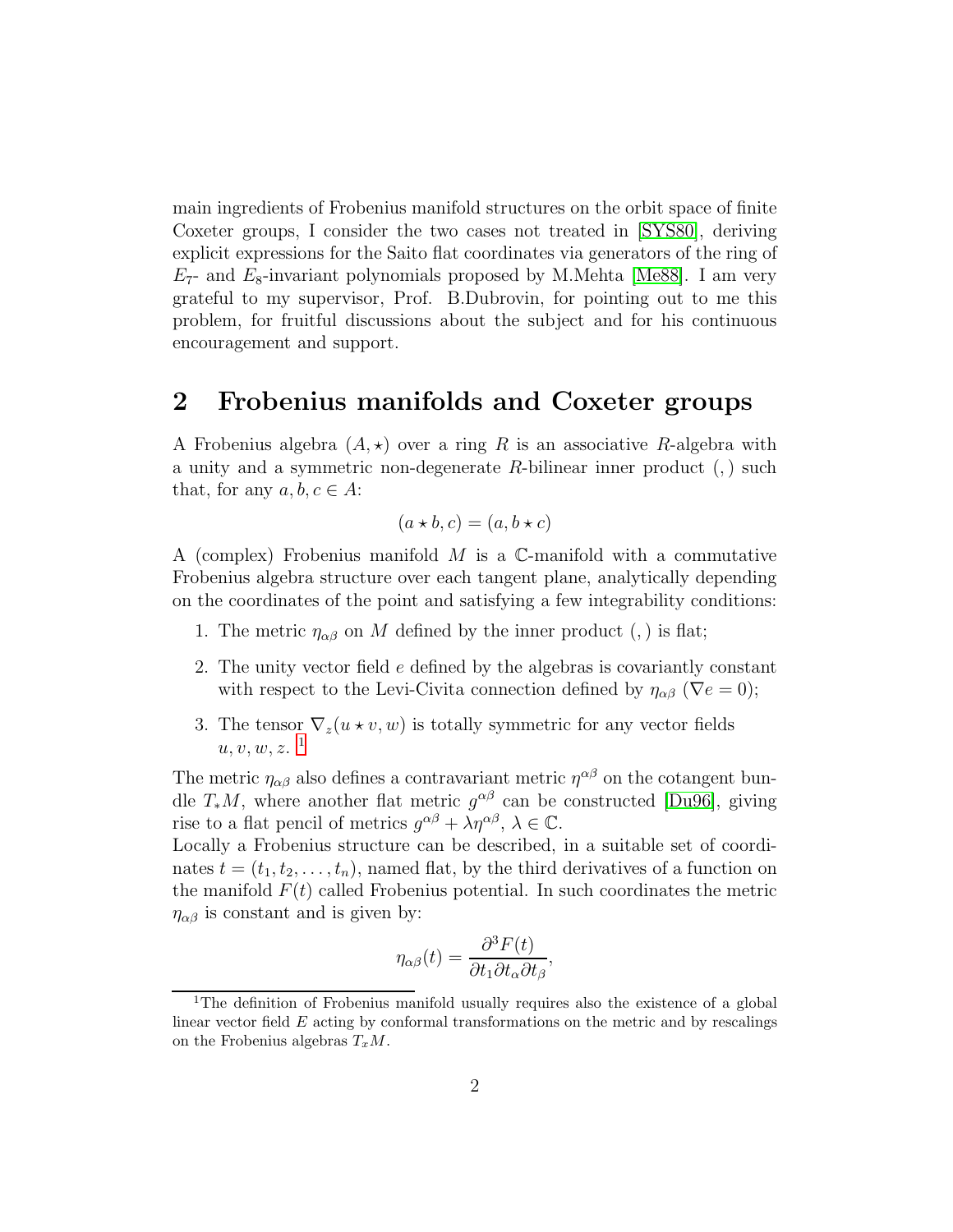main ingredients of Frobenius manifold structures on the orbit space of finite Coxeter groups, I consider the two cases not treated in [\[SYS80\]](#page-12-4), deriving explicit expressions for the Saito flat coordinates via generators of the ring of  $E_7$ - and  $E_8$ -invariant polynomials proposed by M.Mehta [\[Me88\]](#page-12-8). I am very grateful to my supervisor, Prof. B.Dubrovin, for pointing out to me this problem, for fruitful discussions about the subject and for his continuous encouragement and support.

## 2 Frobenius manifolds and Coxeter groups

A Frobenius algebra  $(A, \star)$  over a ring R is an associative R-algebra with a unity and a symmetric non-degenerate  $R$ -bilinear inner product  $(,)$  such that, for any  $a, b, c \in A$ :

$$
(a \star b, c) = (a, b \star c)
$$

A (complex) Frobenius manifold  $M$  is a  $\mathbb{C}$ -manifold with a commutative Frobenius algebra structure over each tangent plane, analytically depending on the coordinates of the point and satisfying a few integrability conditions:

- 1. The metric  $\eta_{\alpha\beta}$  on M defined by the inner product (,) is flat;
- 2. The unity vector field e defined by the algebras is covariantly constant with respect to the Levi-Civita connection defined by  $\eta_{\alpha\beta}$  ( $\nabla e = 0$ );
- 3. The tensor  $\nabla_z(u \star v, w)$  is totally symmetric for any vector fields  $u, v, w, z$ .<sup>[1](#page-1-0)</sup>

The metric  $\eta_{\alpha\beta}$  also defines a contravariant metric  $\eta^{\alpha\beta}$  on the cotangent bundle  $T_*M$ , where another flat metric  $g^{\alpha\beta}$  can be constructed [\[Du96\]](#page-12-1), giving rise to a flat pencil of metrics  $g^{\alpha\beta} + \lambda \eta^{\alpha\beta}, \lambda \in \mathbb{C}$ .

Locally a Frobenius structure can be described, in a suitable set of coordinates  $t = (t_1, t_2, \ldots, t_n)$ , named flat, by the third derivatives of a function on the manifold  $F(t)$  called Frobenius potential. In such coordinates the metric  $\eta_{\alpha\beta}$  is constant and is given by:

$$
\eta_{\alpha\beta}(t) = \frac{\partial^3 F(t)}{\partial t_1 \partial t_\alpha \partial t_\beta},
$$

<span id="page-1-0"></span><sup>&</sup>lt;sup>1</sup>The definition of Frobenius manifold usually requires also the existence of a global linear vector field  $E$  acting by conformal transformations on the metric and by rescalings on the Frobenius algebras  $T_xM$ .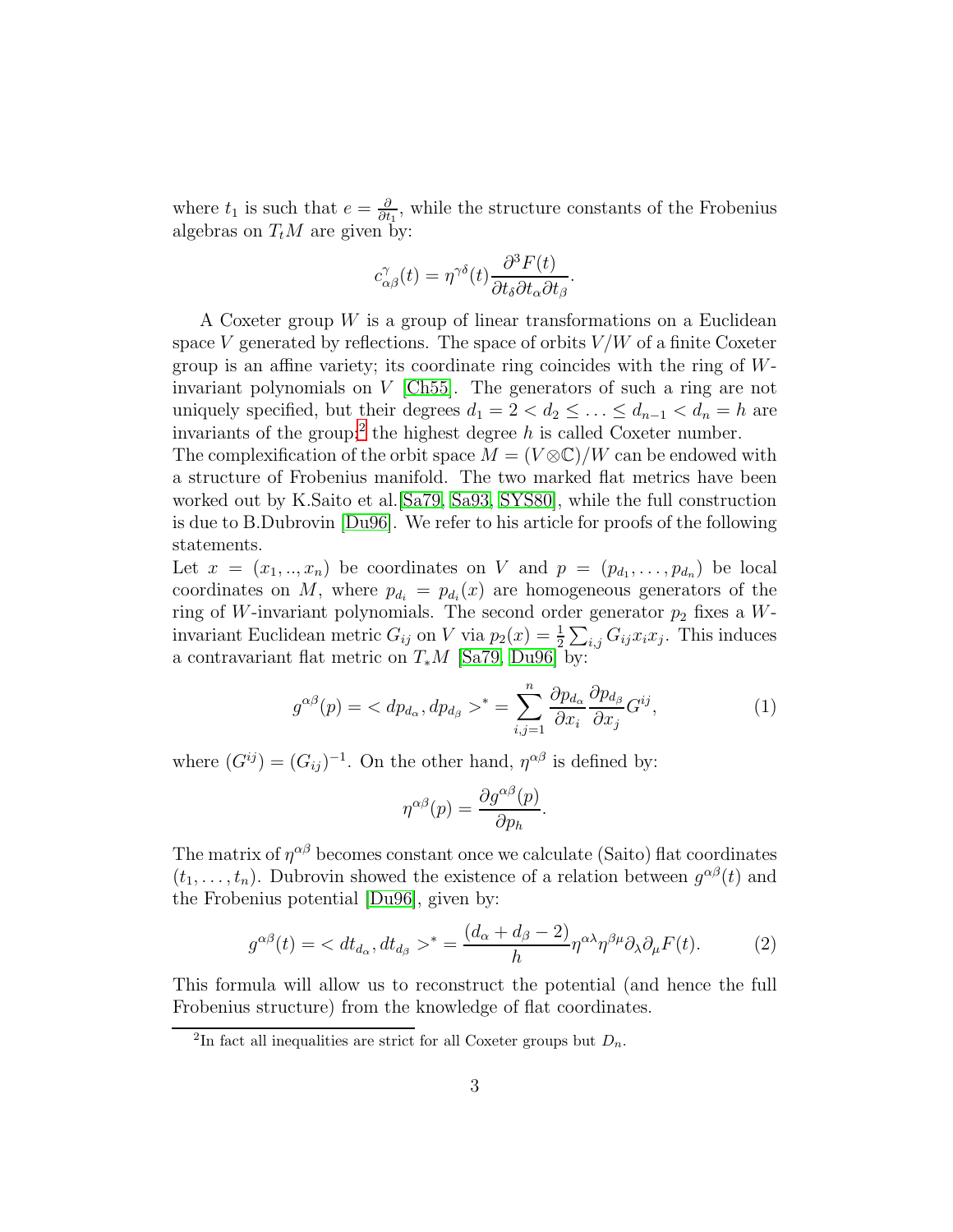where  $t_1$  is such that  $e = \frac{\partial}{\partial t}$  $\frac{\partial}{\partial t_1}$ , while the structure constants of the Frobenius algebras on  $T_tM$  are given by:

$$
c_{\alpha\beta}^{\gamma}(t) = \eta^{\gamma\delta}(t) \frac{\partial^3 F(t)}{\partial t_{\delta}\partial t_{\alpha}\partial t_{\beta}}.
$$

A Coxeter group  $W$  is a group of linear transformations on a Euclidean space V generated by reflections. The space of orbits  $V/W$  of a finite Coxeter group is an affine variety; its coordinate ring coincides with the ring of Winvariant polynomials on V [\[Ch55\]](#page-12-9). The generators of such a ring are not uniquely specified, but their degrees  $d_1 = 2 < d_2 \leq \ldots \leq d_{n-1} < d_n = h$  are invariants of the group;<sup>[2](#page-2-0)</sup> the highest degree h is called Coxeter number.

The complexification of the orbit space  $M = (V \otimes \mathbb{C})/W$  can be endowed with a structure of Frobenius manifold. The two marked flat metrics have been worked out by K.Saito et al.[\[Sa79,](#page-12-2) [Sa93,](#page-12-3) [SYS80\]](#page-12-4), while the full construction is due to B.Dubrovin [\[Du96\]](#page-12-1). We refer to his article for proofs of the following statements.

Let  $x = (x_1, \ldots, x_n)$  be coordinates on V and  $p = (p_{d_1}, \ldots, p_{d_n})$  be local coordinates on M, where  $p_{d_i} = p_{d_i}(x)$  are homogeneous generators of the ring of W-invariant polynomials. The second order generator  $p_2$  fixes a Winvariant Euclidean metric  $G_{ij}$  on V via  $p_2(x) = \frac{1}{2} \sum_{i,j} G_{ij} x_i x_j$ . This induces a contravariant flat metric on  $T_*M$  [\[Sa79,](#page-12-2) [Du96\]](#page-12-1) by:

<span id="page-2-1"></span>
$$
g^{\alpha\beta}(p) = \langle dp_{d_{\alpha}}, dp_{d_{\beta}} \rangle^* = \sum_{i,j=1}^n \frac{\partial p_{d_{\alpha}}}{\partial x_i} \frac{\partial p_{d_{\beta}}}{\partial x_j} G^{ij}, \tag{1}
$$

.

where  $(G^{ij}) = (G_{ij})^{-1}$ . On the other hand,  $\eta^{\alpha\beta}$  is defined by:

$$
\eta^{\alpha\beta}(p) = \frac{\partial g^{\alpha\beta}(p)}{\partial p_h}
$$

The matrix of  $\eta^{\alpha\beta}$  becomes constant once we calculate (Saito) flat coordinates  $(t_1, \ldots, t_n)$ . Dubrovin showed the existence of a relation between  $g^{\alpha\beta}(t)$  and the Frobenius potential [\[Du96\]](#page-12-1), given by:

<span id="page-2-2"></span>
$$
g^{\alpha\beta}(t) = \langle dt_{d_{\alpha}}, dt_{d_{\beta}} \rangle^* = \frac{(d_{\alpha} + d_{\beta} - 2)}{h} \eta^{\alpha\lambda} \eta^{\beta\mu} \partial_{\lambda} \partial_{\mu} F(t). \tag{2}
$$

This formula will allow us to reconstruct the potential (and hence the full Frobenius structure) from the knowledge of flat coordinates.

<span id="page-2-0"></span><sup>&</sup>lt;sup>2</sup>In fact all inequalities are strict for all Coxeter groups but  $D_n$ .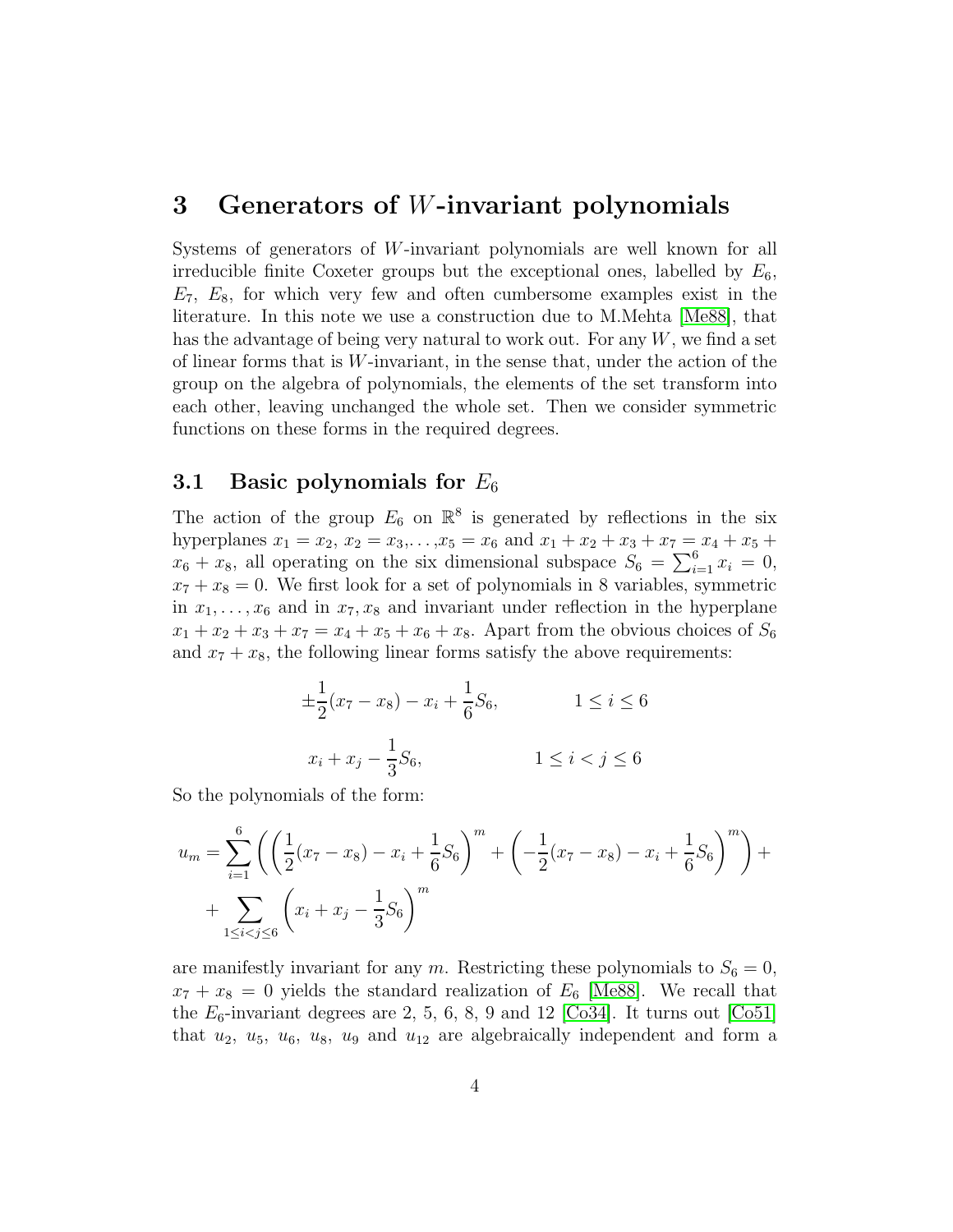## 3 Generators of W-invariant polynomials

Systems of generators of W-invariant polynomials are well known for all irreducible finite Coxeter groups but the exceptional ones, labelled by  $E_6$ ,  $E_7$ ,  $E_8$ , for which very few and often cumbersome examples exist in the literature. In this note we use a construction due to M.Mehta [\[Me88\]](#page-12-8), that has the advantage of being very natural to work out. For any  $W$ , we find a set of linear forms that is  $W$ -invariant, in the sense that, under the action of the group on the algebra of polynomials, the elements of the set transform into each other, leaving unchanged the whole set. Then we consider symmetric functions on these forms in the required degrees.

## 3.1 Basic polynomials for  $E_6$

The action of the group  $E_6$  on  $\mathbb{R}^8$  is generated by reflections in the six hyperplanes  $x_1 = x_2, x_2 = x_3, \ldots, x_5 = x_6$  and  $x_1 + x_2 + x_3 + x_7 = x_4 + x_5 + x_6$  $x_6 + x_8$ , all operating on the six dimensional subspace  $S_6 = \sum_{i=1}^{6} x_i = 0$ ,  $x_7 + x_8 = 0$ . We first look for a set of polynomials in 8 variables, symmetric in  $x_1, \ldots, x_6$  and in  $x_7, x_8$  and invariant under reflection in the hyperplane  $x_1 + x_2 + x_3 + x_7 = x_4 + x_5 + x_6 + x_8$ . Apart from the obvious choices of  $S_6$ and  $x_7 + x_8$ , the following linear forms satisfy the above requirements:

$$
\pm \frac{1}{2}(x_7 - x_8) - x_i + \frac{1}{6}S_6, \qquad 1 \le i \le 6
$$
  

$$
x_i + x_j - \frac{1}{3}S_6, \qquad 1 \le i < j \le 6
$$

So the polynomials of the form:

$$
u_m = \sum_{i=1}^{6} \left( \left( \frac{1}{2} (x_7 - x_8) - x_1 + \frac{1}{6} S_6 \right)^m + \left( -\frac{1}{2} (x_7 - x_8) - x_1 + \frac{1}{6} S_6 \right)^m \right) + \sum_{1 \le i < j \le 6} \left( x_1 + x_j - \frac{1}{3} S_6 \right)^m
$$

are manifestly invariant for any m. Restricting these polynomials to  $S_6 = 0$ ,  $x_7 + x_8 = 0$  yields the standard realization of  $E_6$  [\[Me88\]](#page-12-8). We recall that the  $E_6$ -invariant degrees are 2, 5, 6, 8, 9 and 12 [\[Co34\]](#page-12-0). It turns out [\[Co51\]](#page-12-10) that  $u_2$ ,  $u_5$ ,  $u_6$ ,  $u_8$ ,  $u_9$  and  $u_{12}$  are algebraically independent and form a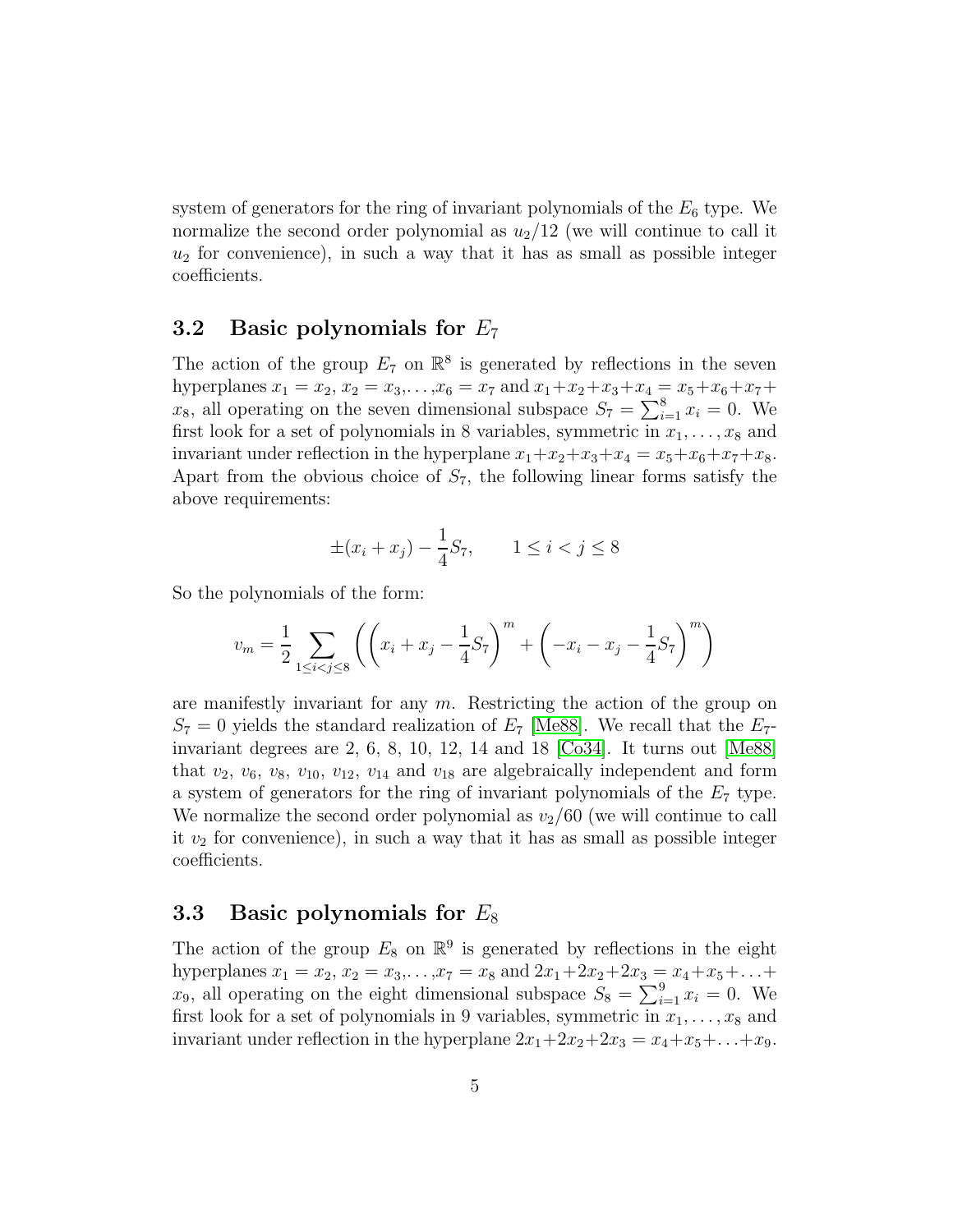system of generators for the ring of invariant polynomials of the  $E_6$  type. We normalize the second order polynomial as  $u_2/12$  (we will continue to call it  $u_2$  for convenience), in such a way that it has as small as possible integer coefficients.

#### 3.2 Basic polynomials for  $E_7$

The action of the group  $E_7$  on  $\mathbb{R}^8$  is generated by reflections in the seven hyperplanes  $x_1 = x_2, x_2 = x_3, \ldots, x_6 = x_7$  and  $x_1 + x_2 + x_3 + x_4 = x_5 + x_6 + x_7 + x_8$  $x_8$ , all operating on the seven dimensional subspace  $S_7 = \sum_{i=1}^8 x_i = 0$ . We first look for a set of polynomials in 8 variables, symmetric in  $x_1, \ldots, x_8$  and invariant under reflection in the hyperplane  $x_1+x_2+x_3+x_4 = x_5+x_6+x_7+x_8$ . Apart from the obvious choice of  $S_7$ , the following linear forms satisfy the above requirements:

$$
\pm (x_i + x_j) - \frac{1}{4}S_7
$$
,  $1 \le i < j \le 8$ 

So the polynomials of the form:

$$
v_m = \frac{1}{2} \sum_{1 \le i < j \le 8} \left( \left( x_i + x_j - \frac{1}{4} S_7 \right)^m + \left( -x_i - x_j - \frac{1}{4} S_7 \right)^m \right)
$$

are manifestly invariant for any  $m$ . Restricting the action of the group on  $S_7 = 0$  yields the standard realization of  $E_7$  [\[Me88\]](#page-12-8). We recall that the  $E_7$ invariant degrees are 2, 6, 8, 10, 12, 14 and 18 [\[Co34\]](#page-12-0). It turns out [\[Me88\]](#page-12-8) that  $v_2$ ,  $v_6$ ,  $v_8$ ,  $v_{10}$ ,  $v_{12}$ ,  $v_{14}$  and  $v_{18}$  are algebraically independent and form a system of generators for the ring of invariant polynomials of the  $E<sub>7</sub>$  type. We normalize the second order polynomial as  $v_2/60$  (we will continue to call it  $v_2$  for convenience), in such a way that it has as small as possible integer coefficients.

### 3.3 Basic polynomials for  $E_8$

The action of the group  $E_8$  on  $\mathbb{R}^9$  is generated by reflections in the eight hyperplanes  $x_1 = x_2, x_2 = x_3, \ldots, x_7 = x_8$  and  $2x_1+2x_2+2x_3 = x_4+x_5+\ldots+$  $x_9$ , all operating on the eight dimensional subspace  $S_8 = \sum_{i=1}^9 x_i = 0$ . We first look for a set of polynomials in 9 variables, symmetric in  $x_1, \ldots, x_8$  and invariant under reflection in the hyperplane  $2x_1+2x_2+2x_3 = x_4+x_5+\ldots+x_9$ .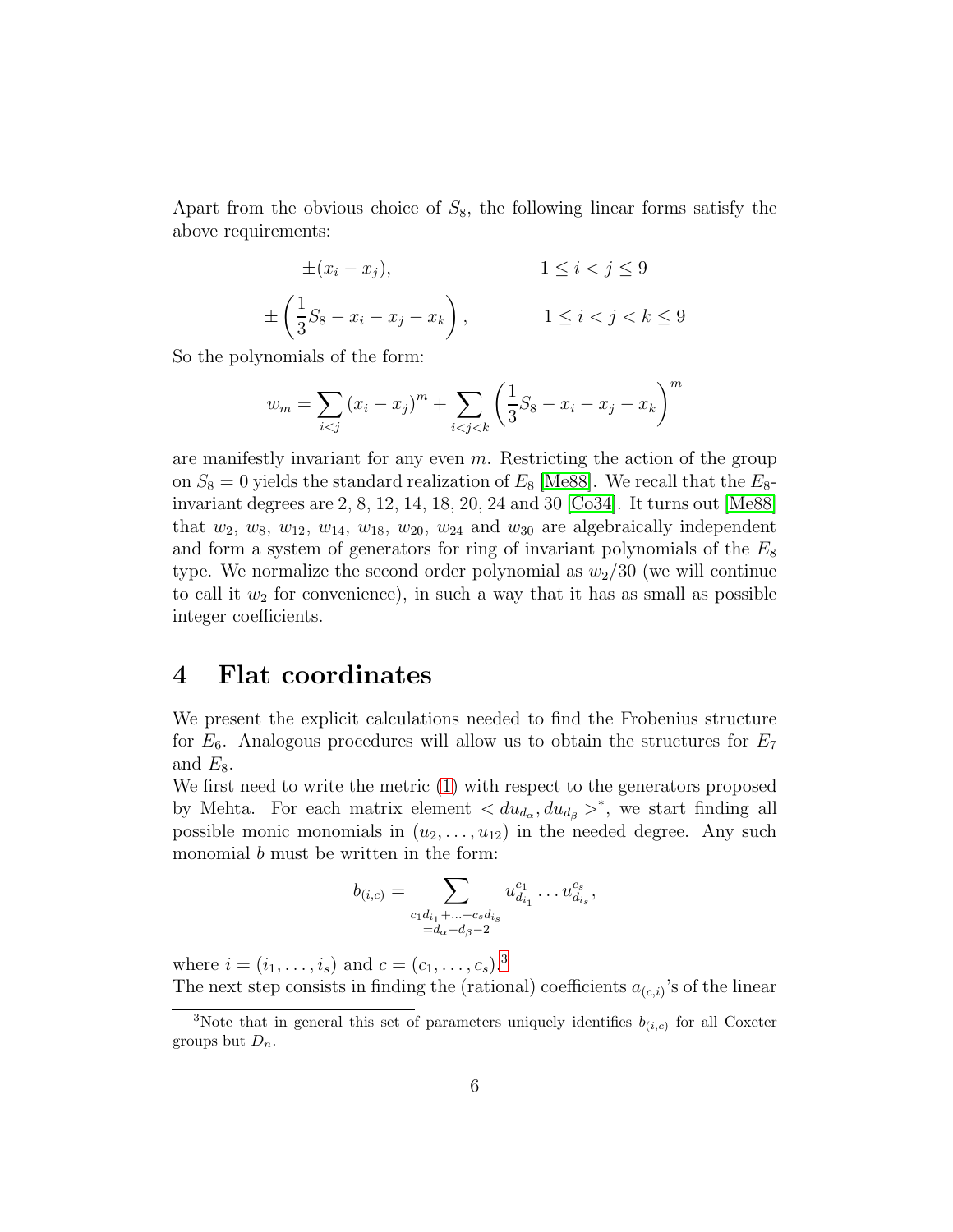Apart from the obvious choice of  $S_8$ , the following linear forms satisfy the above requirements:

$$
\pm (x_i - x_j), \qquad \qquad 1 \le i < j \le 9
$$
  

$$
\pm \left(\frac{1}{3}S_8 - x_i - x_j - x_k\right), \qquad \qquad 1 \le i < j < k \le 9
$$

So the polynomials of the form:

$$
w_m = \sum_{i < j} (x_i - x_j)^m + \sum_{i < j < k} \left(\frac{1}{3}S_8 - x_i - x_j - x_k\right)^m
$$

are manifestly invariant for any even  $m$ . Restricting the action of the group on  $S_8 = 0$  yields the standard realization of  $E_8$  [\[Me88\]](#page-12-8). We recall that the  $E_8$ invariant degrees are 2, 8, 12, 14, 18, 20, 24 and 30 [\[Co34\]](#page-12-0). It turns out [\[Me88\]](#page-12-8) that  $w_2$ ,  $w_8$ ,  $w_{12}$ ,  $w_{14}$ ,  $w_{18}$ ,  $w_{20}$ ,  $w_{24}$  and  $w_{30}$  are algebraically independent and form a system of generators for ring of invariant polynomials of the  $E_8$ type. We normalize the second order polynomial as  $w_2/30$  (we will continue to call it  $w_2$  for convenience), in such a way that it has as small as possible integer coefficients.

## 4 Flat coordinates

We present the explicit calculations needed to find the Frobenius structure for  $E_6$ . Analogous procedures will allow us to obtain the structures for  $E_7$ and  $E_8$ .

We first need to write the metric [\(1\)](#page-2-1) with respect to the generators proposed by Mehta. For each matrix element  $\langle du_{d_{\alpha}}, du_{d_{\beta}} \rangle^*$ , we start finding all possible monic monomials in  $(u_2, \ldots, u_{12})$  in the needed degree. Any such monomial b must be written in the form:

$$
b_{(i,c)} = \sum_{\substack{c_1 d_{i_1} + \ldots + c_s d_{i_s} \\ = d_{\alpha} + d_{\beta} - 2}} u_{d_{i_1}}^{c_1} \ldots u_{d_{i_s}}^{c_s},
$$

where  $i = (i_1, \ldots, i_s)$  and  $c = (c_1, \ldots, c_s).$ <sup>[3](#page-5-0)</sup> The next step consists in finding the (rational) coefficients  $a_{(c,i)}$ 's of the linear

<span id="page-5-0"></span><sup>&</sup>lt;sup>3</sup>Note that in general this set of parameters uniquely identifies  $b_{(i,c)}$  for all Coxeter groups but  $D_n$ .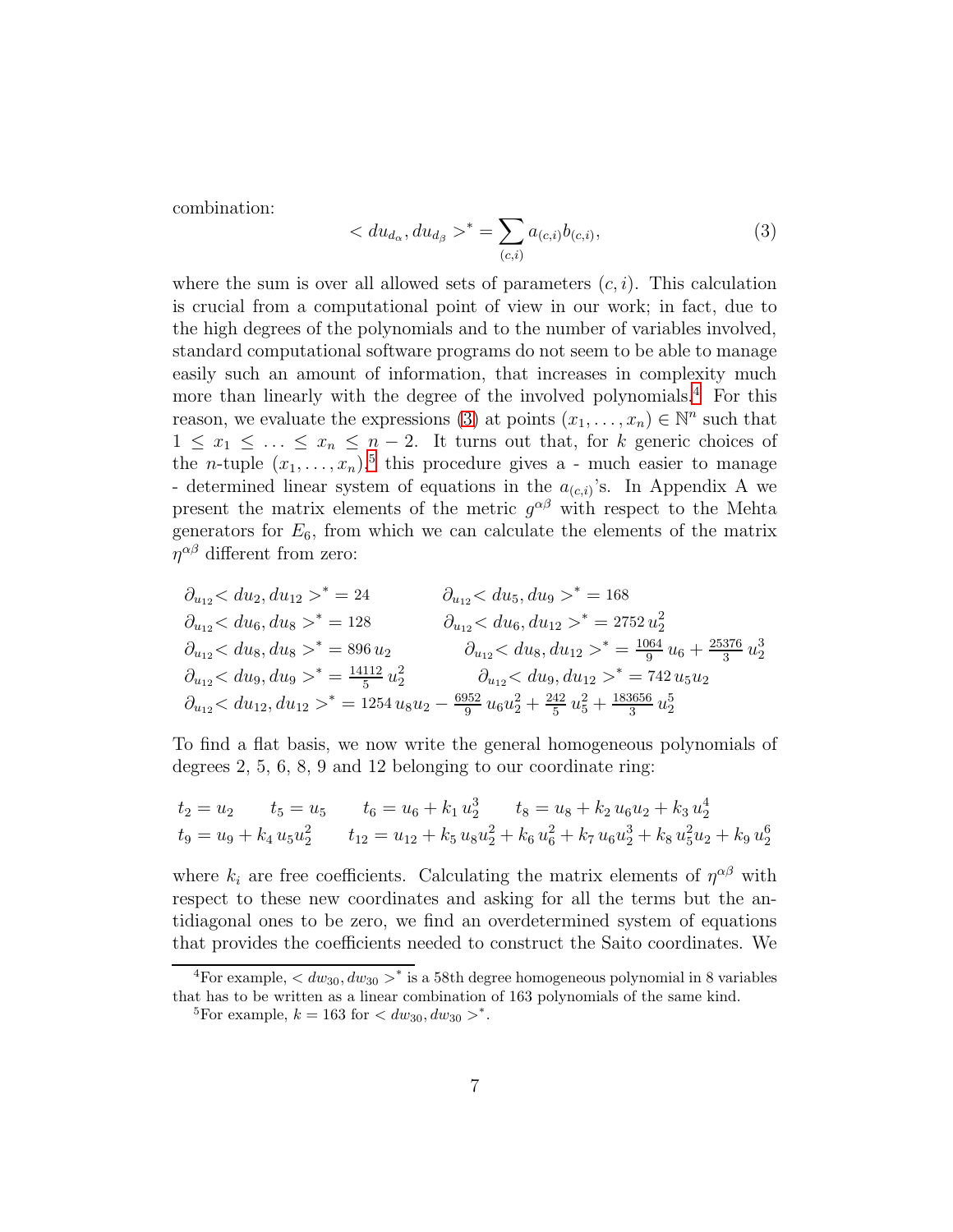combination:

<span id="page-6-1"></span>
$$
\langle du_{d_{\alpha}}, du_{d_{\beta}} \rangle^* = \sum_{(c,i)} a_{(c,i)} b_{(c,i)}, \tag{3}
$$

where the sum is over all allowed sets of parameters  $(c, i)$ . This calculation is crucial from a computational point of view in our work; in fact, due to the high degrees of the polynomials and to the number of variables involved, standard computational software programs do not seem to be able to manage easily such an amount of information, that increases in complexity much more than linearly with the degree of the involved polynomials.[4](#page-6-0) For this reason, we evaluate the expressions [\(3\)](#page-6-1) at points  $(x_1, \ldots, x_n) \in \mathbb{N}^n$  such that  $1 \leq x_1 \leq \ldots \leq x_n \leq n-2$ . It turns out that, for k generic choices of the *n*-tuple  $(x_1, \ldots, x_n)$ <sup>[5](#page-6-2)</sup>, this procedure gives a - much easier to manage - determined linear system of equations in the  $a_{(c,i)}$ 's. In Appendix A we present the matrix elements of the metric  $g^{\alpha\beta}$  with respect to the Mehta generators for  $E_6$ , from which we can calculate the elements of the matrix  $\eta^{\alpha\beta}$  different from zero:

$$
\partial_{u_{12}} < du_2, du_{12} >^* = 24 \qquad \partial_{u_{12}} < du_5, du_9 >^* = 168
$$
\n
$$
\partial_{u_{12}} < du_6, du_8 >^* = 128 \qquad \partial_{u_{12}} < du_6, du_{12} >^* = 2752 \, u_2^2
$$
\n
$$
\partial_{u_{12}} < du_8, du_8 >^* = 896 \, u_2 \qquad \partial_{u_{12}} < du_8, du_{12} >^* = \frac{1064}{9} \, u_6 + \frac{25376}{3} \, u_2^3
$$
\n
$$
\partial_{u_{12}} < du_9, du_9 >^* = \frac{14112}{5} \, u_2^2 \qquad \partial_{u_{12}} < du_9, du_{12} >^* = 742 \, u_5 u_2
$$
\n
$$
\partial_{u_{12}} < du_{12}, du_{12} >^* = 1254 \, u_8 u_2 - \frac{6952}{9} \, u_6 u_2^2 + \frac{242}{5} \, u_5^2 + \frac{183656}{3} \, u_2^5
$$

To find a flat basis, we now write the general homogeneous polynomials of degrees 2, 5, 6, 8, 9 and 12 belonging to our coordinate ring:

$$
t_2 = u_2 \t t_5 = u_5 \t t_6 = u_6 + k_1 u_2^3 \t t_8 = u_8 + k_2 u_6 u_2 + k_3 u_2^4
$$
  

$$
t_9 = u_9 + k_4 u_5 u_2^2 \t t_{12} = u_{12} + k_5 u_8 u_2^2 + k_6 u_6^2 + k_7 u_6 u_2^3 + k_8 u_5^2 u_2 + k_9 u_2^6
$$

where  $k_i$  are free coefficients. Calculating the matrix elements of  $\eta^{\alpha\beta}$  with respect to these new coordinates and asking for all the terms but the antidiagonal ones to be zero, we find an overdetermined system of equations that provides the coefficients needed to construct the Saito coordinates. We

<sup>&</sup>lt;sup>4</sup>For example,  $\langle dw_{30}, dw_{30} \rangle^*$  is a 58th degree homogeneous polynomial in 8 variables that has to be written as a linear combination of 163 polynomials of the same kind.

<span id="page-6-2"></span><span id="page-6-0"></span><sup>&</sup>lt;sup>5</sup>For example,  $k = 163$  for  $\lt dw_{30}$ ,  $dw_{30} >^*$ .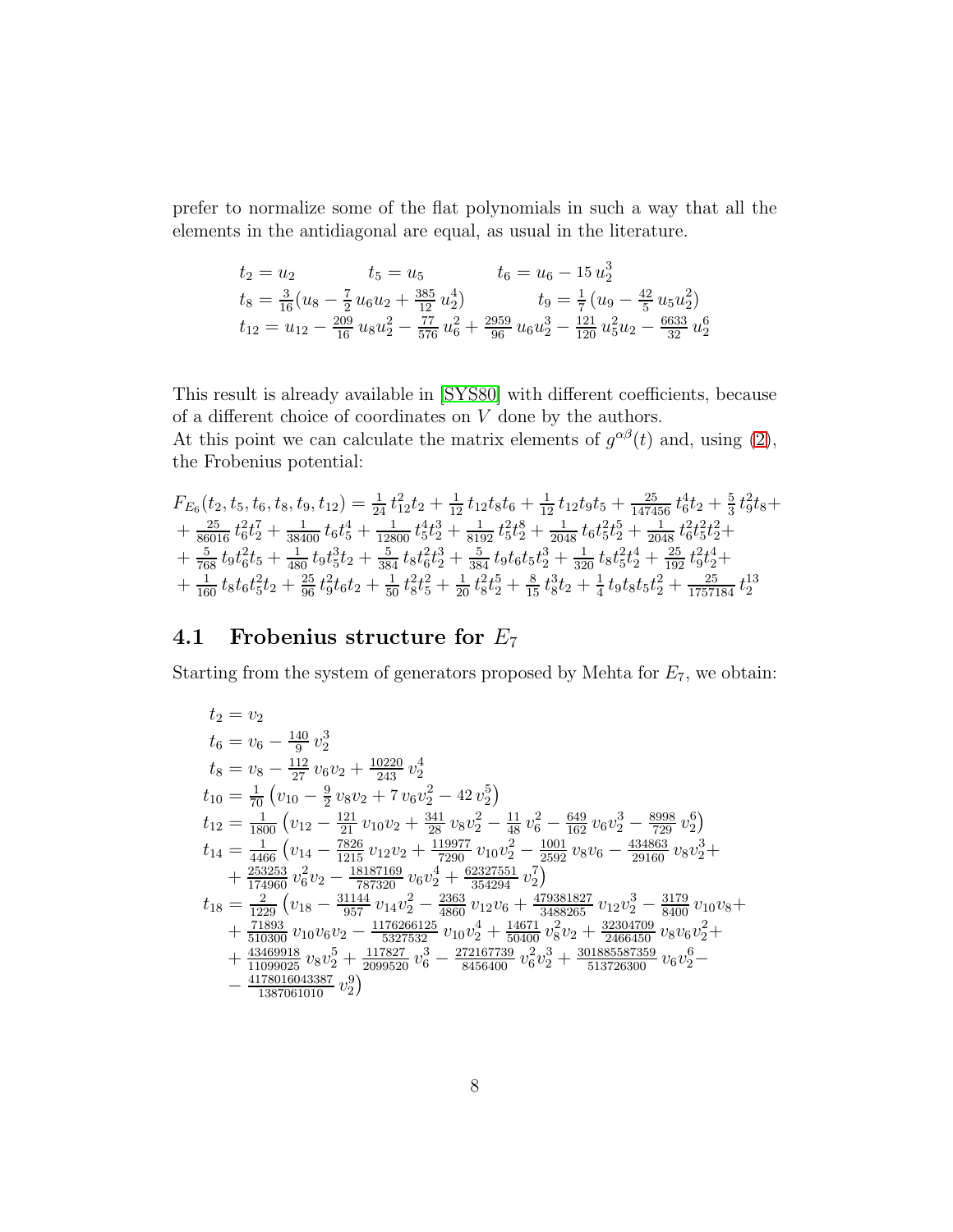prefer to normalize some of the flat polynomials in such a way that all the elements in the antidiagonal are equal, as usual in the literature.

$$
t_2 = u_2 \t t_5 = u_5 \t t_6 = u_6 - 15 u_2^3
$$
  
\n
$$
t_8 = \frac{3}{16} (u_8 - \frac{7}{2} u_6 u_2 + \frac{385}{12} u_2^4) \t t_9 = \frac{1}{7} (u_9 - \frac{42}{5} u_5 u_2^2)
$$
  
\n
$$
t_{12} = u_{12} - \frac{209}{16} u_8 u_2^2 - \frac{77}{576} u_6^2 + \frac{2959}{96} u_6 u_2^3 - \frac{121}{120} u_5^2 u_2 - \frac{6633}{32} u_2^6
$$

This result is already available in [\[SYS80\]](#page-12-4) with different coefficients, because of a different choice of coordinates on  $V$  done by the authors.

At this point we can calculate the matrix elements of  $g^{\alpha\beta}(t)$  and, using [\(2\)](#page-2-2), the Frobenius potential:

$$
\begin{array}{l} F_{E_6}(t_2,t_5,t_6,t_8,t_9,t_{12}) = \frac{1}{24} t_{12}^2 t_2 + \frac{1}{12} t_{12} t_8 t_6 + \frac{1}{12} t_{12} t_9 t_5 + \frac{25}{147456} t_6^4 t_2 + \frac{5}{3} t_9^2 t_8 + \\ + \frac{25}{86016} t_6^2 t_2^7 + \frac{1}{38400} t_6 t_5^4 + \frac{1}{12800} t_5^4 t_2^3 + \frac{1}{8192} t_5^2 t_2^8 + \frac{1}{2048} t_6 t_5^2 t_2^5 + \frac{1}{2048} t_6^2 t_5^2 t_2^2 + \\ + \frac{5}{768} t_9 t_6^2 t_5 + \frac{1}{480} t_9 t_5^3 t_2 + \frac{5}{384} t_8 t_6^2 t_2^3 + \frac{5}{384} t_9 t_6 t_5 t_2^3 + \frac{1}{320} t_8 t_5^2 t_4^4 + \frac{25}{192} t_9^2 t_2^4 + \\ + \frac{1}{160} t_8 t_6 t_5^2 t_2 + \frac{25}{96} t_9^2 t_6 t_2 + \frac{1}{50} t_8^2 t_5^2 + \frac{1}{20} t_8^2 t_2^5 + \frac{8}{15} t_8^3 t_2 + \frac{1}{4} t_9 t_8 t_5 t_2^2 + \frac{25}{1757184} t_2^{13} \end{array}
$$

# 4.1 Frobenius structure for  $E_7$

Starting from the system of generators proposed by Mehta for  $E_7$ , we obtain:

$$
t_2 = v_2
$$
  
\n
$$
t_6 = v_6 - \frac{140}{9} v_2^3
$$
  
\n
$$
t_8 = v_8 - \frac{112}{27} v_6 v_2 + \frac{10220}{243} v_2^4
$$
  
\n
$$
t_{10} = \frac{1}{70} \left( v_{10} - \frac{9}{2} v_8 v_2 + 7 v_6 v_2^2 - 42 v_2^5 \right)
$$
  
\n
$$
t_{12} = \frac{1}{1800} \left( v_{12} - \frac{121}{211} v_{10} v_2 + \frac{341}{28} v_8 v_2^2 - \frac{11}{48} v_6^2 - \frac{649}{162} v_6 v_2^3 - \frac{8998}{729} v_2^6 \right)
$$
  
\n
$$
t_{14} = \frac{1}{4466} \left( v_{14} - \frac{7826}{1215} v_{12} v_2 + \frac{119977}{7290} v_{10} v_2^2 - \frac{1001}{2592} v_8 v_6 - \frac{434863}{29160} v_8 v_2^3 + \frac{253253}{174960} v_6^2 v_2 - \frac{18187169}{787320} v_6 v_2^4 + \frac{62327551}{354294} v_2^7 \right)
$$
  
\n
$$
t_{18} = \frac{2}{1229} \left( v_{18} - \frac{31144}{957} v_{14} v_2^2 - \frac{2363}{4860} v_{12} v_6 + \frac{479381827}{3488265} v_{12} v_2^3 - \frac{3179}{8400} v_{10} v_8 + \frac{71893}{510300} v_{10} v_6 v_2 - \frac{1176266125}{5327532} v_{10} v_2^4 + \frac{14671}{59400} v_8^2 v_2 + \frac{32304709}{2466450} v_8 v_6 v_2^2
$$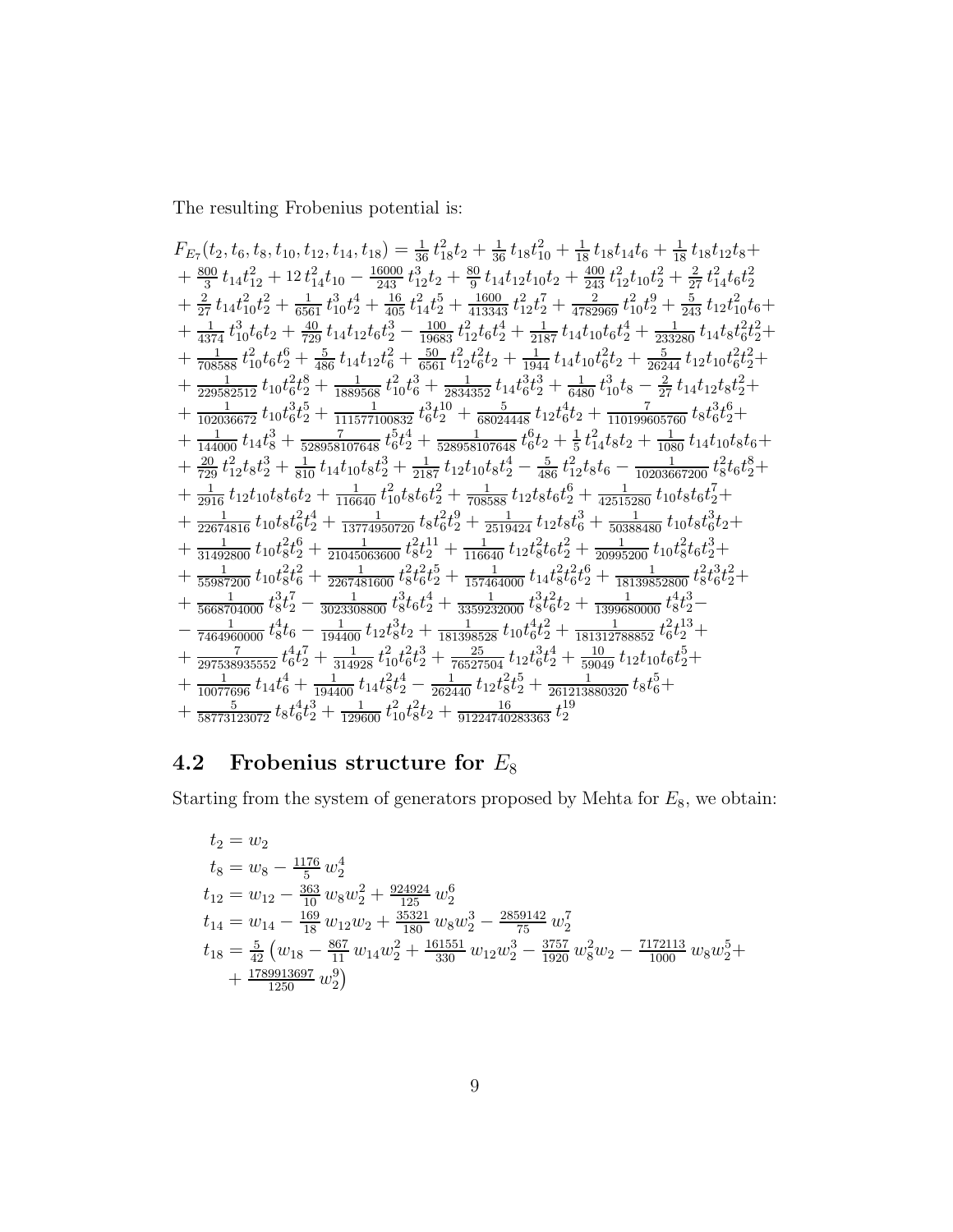The resulting Frobenius potential is:

$$
F_{E_7}(t_2,t_6,t_8,t_{10},t_{12},t_{14},t_{18}) = \frac{1}{36}t_{18}^2t_2+\frac{1}{36}t_{18}t_{10}^2+\frac{1}{18}t_{18}t_{14}t_6+\frac{1}{18}t_{18}t_{12}t_8+\frac{800}{14}t_{14}t_{12}^2+12t_{14}^2t_{10}-\frac{16000}{243}t_{12}^3t_2+\frac{80}{9}t_{14}t_{12}t_{10}t_2+\frac{400}{243}t_{12}^2t_{10}t_2^2+\frac{2}{27}t_{14}^2t_{6}t_2^2+\frac{2}{27}t_{14}t_{6}t_2^2+\frac{2}{27}t_{14}t_{10}^2t_2^2+\frac{3}{2651}t_{10}^3t_2^4+\frac{160}{405}t_{14}^2t_2^5+\frac{1600}{413343}t_{12}^2t_2^7+\frac{20}{4782969}t_{10}^2t_2^9+\frac{5}{243}t_{12}t_{10}^2t_6+\frac{1}{137}t_{10}^2t_6t_2+\frac{40}{280}t_{14}t_{12}t_6t_2^4+\frac{1}{280}t_{12}t_6^4+\frac{1}{2817}t_{14}t_{10}t_6t_2^4+\frac{1}{233280}t_{14}t_8t_6^2t_2^4+\frac{1}{288586}t_{10}t_6^6t_2+\frac{5}{486}t_{14}t_{12}t_6^2+\frac{50}{6561}t_{12}^2t_6^2t_2+\frac{1}{1944}t_{14}t_{10}t_6^2t_2+\frac{5}{26244}t_{12}t_{10}t_6^2t_2^2+\frac{1}{22952251}t_{10}t_6^2t_2^8+\frac{1}{1880568}t_{10}^2t_6^3+\frac{1}{28143250}t_{14}t_{
$$

#### Frobenius structure for  $\mathcal{E}_8$  $4.2$

Starting from the system of generators proposed by Mehta for  $E_8,$  we obtain:

$$
t_2 = w_2
$$
  
\n
$$
t_8 = w_8 - \frac{1176}{5} w_2^4
$$
  
\n
$$
t_{12} = w_{12} - \frac{363}{10} w_8 w_2^2 + \frac{924924}{125} w_2^6
$$
  
\n
$$
t_{14} = w_{14} - \frac{169}{18} w_{12} w_2 + \frac{35321}{180} w_8 w_2^3 - \frac{2859142}{75} w_2^7
$$
  
\n
$$
t_{18} = \frac{5}{42} (w_{18} - \frac{867}{11} w_{14} w_2^2 + \frac{161551}{330} w_{12} w_2^3 - \frac{3757}{1920} w_8^2 w_2 - \frac{7172113}{1000} w_8 w_2^5 + \frac{1789913697}{1250} w_2^9)
$$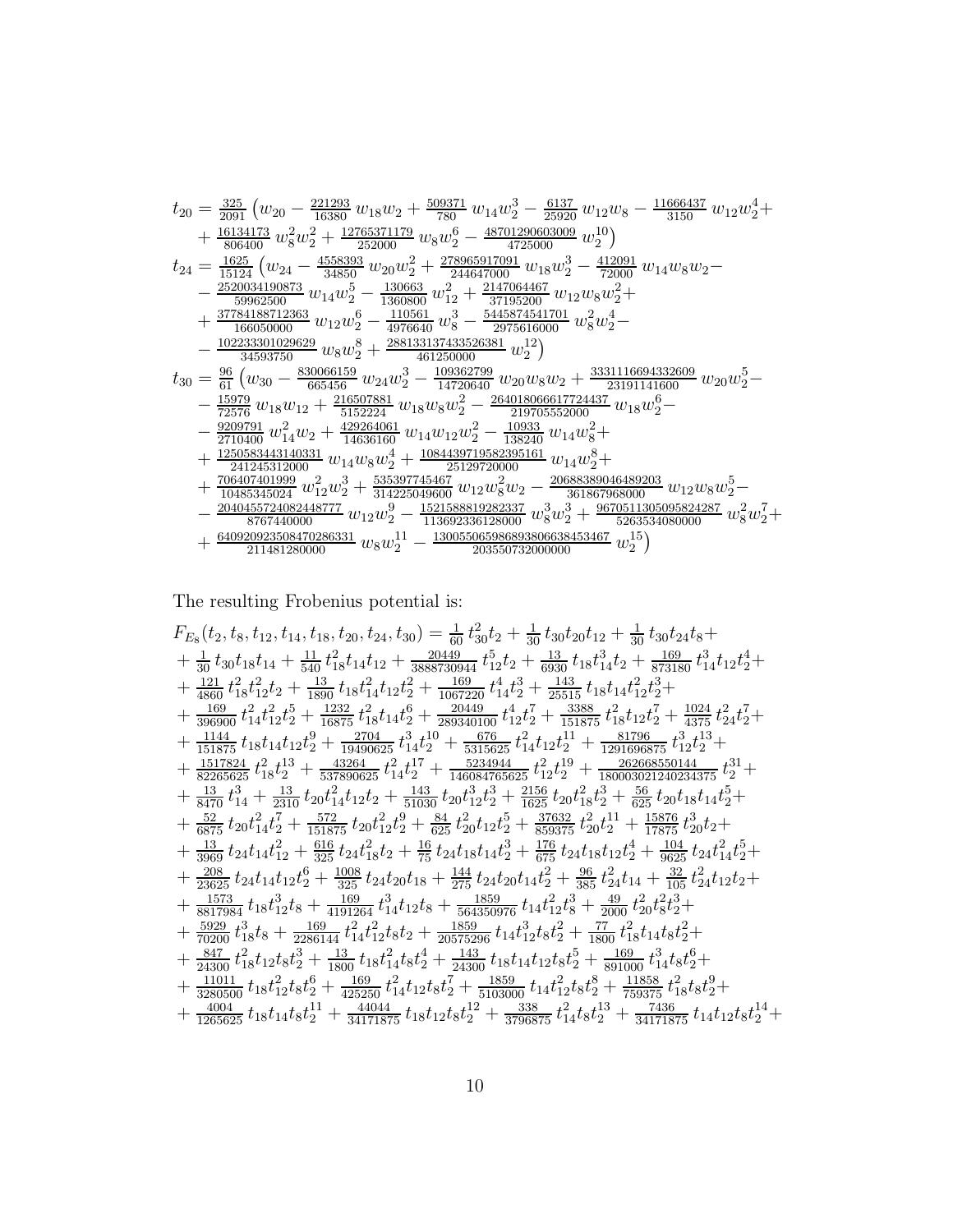$$
t_{20} = \frac{325}{2091} (w_{20} - \frac{221293}{16380} w_{18}w_2 + \frac{509371}{780} w_{14}w_2^3 - \frac{6137}{25920} w_{12}w_8 - \frac{11666437}{3150} w_{12}w_2^4 + \frac{16134173}{806400} w_8^2w_2^2 + \frac{12765371179}{252000} w_8w_2^6 - \frac{48701290603009}{4725000} w_2^{10}) \newline t_{24} = \frac{1625}{15124} (w_{24} - \frac{4558393}{34850} w_{20}w_2^2 + \frac{278965917091}{244647000} w_{18}w_2^3 - \frac{412091}{72000} w_{14}w_8w_2 - \frac{25200034190873}{59962500} w_{14}w_2^5 - \frac{130663}{1360800} w_1^2 + \frac{2117064467}{37195200} w_{12}w_8w_2^2 + \frac{37784188712363}{166050000} w_{12}w_2^6 - \frac{110561}{4976640} w_8^3 - \frac{5445874541701}{2975616000} w_8^2w_2^4 - \frac{102233301029629}{4593750} w_8w_2^6 + \frac{288133137435326381}{41250000} w_2^2w_2^4 - \frac{1331116694332609}{23191141600} w_{20}w_2^5 - \frac{15979}{6515600} w_{18}w_2^2 + \frac{216507881}{461250000} w_{20}w_2 + \frac{3331116694332609}{23191141600} w_{2
$$

The resulting Frobenius potential is:  $% \left\vert \cdot \right\rangle$ 

$$
F_{E_8}(t_2, t_8, t_{12}, t_{14}, t_{18}, t_{20}, t_{24}, t_{30}) = \frac{1}{60} t_{30}^2 t_2 + \frac{1}{30} t_{30} t_{20} t_{12} + \frac{1}{30} t_{30} t_{24} t_8 + \frac{1}{30} t_{30} t_{18} t_{14} t_1 + \frac{11}{540} t_{18}^2 t_{14} t_{12} + \frac{20449}{3888730944} t_{12}^5 t_2 + \frac{13}{693} t_{18} t_{14}^3 t_2 + \frac{169}{873180} t_{14}^3 t_{12} t_2^4 + \frac{121}{4800} t_{18}^2 t_{12}^2 t_2 + \frac{1232}{1890} t_{18} t_{14}^2 t_{12} t_2^2 + \frac{169}{1067220} t_{14}^4 t_2^3 + \frac{143}{25515} t_{18} t_{14} t_{12}^2 t_2^2 + \frac{1024}{3375} t_{24}^2 t_2^7 + \frac{1024}{31575} t_{18} t_{14} t_{12} t_2^6 + \frac{220449}{15875} t_{18}^2 t_{14} t_2^7 + \frac{1144}{151875} t_{18} t_{14} t_{12} t_2^9 + \frac{1232}{19490625} t_{14}^2 t_2^7 + \frac{1234}{151875} t_{18}^2 t_{12} t_2^7 + \frac{1024}{3375} t_{18}^2 t_{13}^2 + \frac{1144}{527565625} t_{18} t_{12}^2 t_2^3 + \frac{1144}{151875} t_{18} t_{14} t_{12} t_2 + \frac{12704}{19400625} t_{14}^2 t_2^7 + \frac{1433}{140304765625} t_{14}^2 t_{12}^4 + \frac{1217824}{12916
$$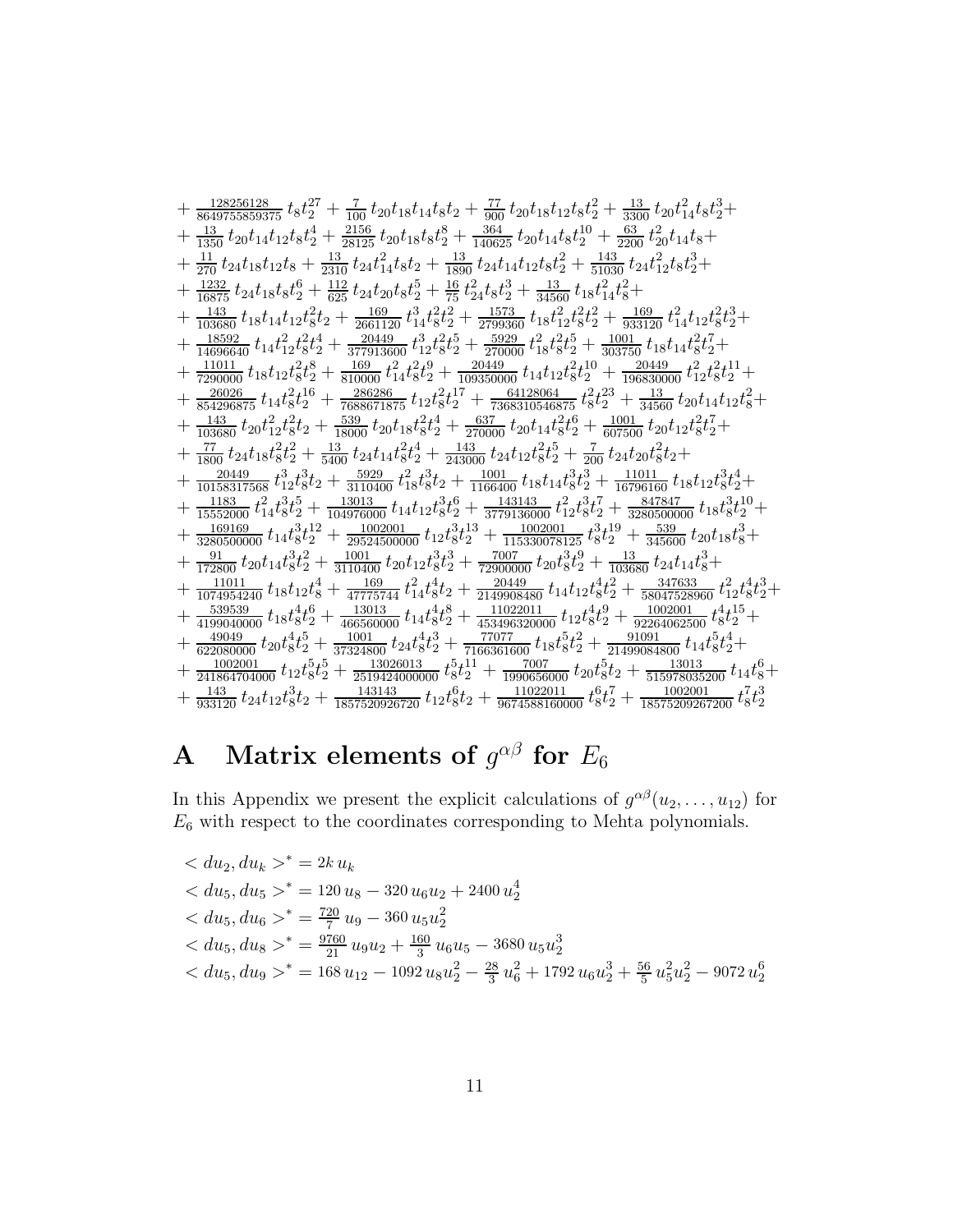$$
+\frac{12826128}{3649755859375}\ t_8 t_2^{27} + \frac{7}{100}\ t_2 v_1_8 t_1_4 t_8 t_2 + \frac{77}{300}\ t_2 v_1_1_8 t_1_2 t_8 t_2^2 + \frac{133}{3300}\ t_2 v_1^2_4 t_8 t_2^3 + \frac{13}{1300}\ t_2 v_1^1_4 t_1_2 t_8 t_2^4 + \frac{2156}{2150}\ t_2 v_1_1_8 t_8 t_2^8 + \frac{364}{140625}\ t_2 v_1_1_4 t_8 t_2^1 - \frac{63}{200}\ t_2^2 v_1_1_4 t_8 + \frac{11}{270}\ t_2 t_1_1_8 t_1_2 t_8 t_2 + \frac{13}{1800}\ t_2 t_1_1_4 t_1_2 t_8 t_2^2 + \frac{133}{51030}\ t_2 t_1^2_1 t_8^2 t_2^3 + \frac{13}{16300}\ t_1 s_1^2 t_4^2 t_8^2 + \frac{133}{16300}\ t_1 s_1^2 t_4^2 t_8^2 + \frac{133}{16300}\ t_1 s_1^2 t_4^2 t_8^2 + \frac{133}{16300}\ t_1 s_1^2 t_4^2 t_8^2 + \frac{1369}{103800}\ t_1 t_1 t_2 t_8^2 t_2 + \frac{169}{220000}\ t_1 t_2 t_8^2 t_2^2 + \frac{1303}{220000}\ t_1 t_2 t_8^2 t_2^3 + \frac{1300}{303000}\ t_1 t_2 t_8^2 t_2^2 + \frac{13000}{3030000}\ t_1 t_2 t_8^2 t_2^3 + \frac{1001}{30350000}\ t_1 t_2 t_8^2 t_2^3 + \frac{1001}{30350000}\ t_1 t_2 t_8^2 t_2^3 + \frac{1001}{30350000}\ t_1 t_2 t_8^2 t_2^3 + \frac{131}{303
$$

#### Matrix elements of  $g^{\alpha\beta}$  for  $E_6$  $\mathbf A$

In this Appendix we present the explicit calculations of  $g^{\alpha\beta}(u_2,\ldots,u_{12})$  for  $E_6$  with respect to the coordinates corresponding to Mehta polynomials.

$$
\begin{aligned}\n&< du_2, du_k \geq^* = 2k u_k \\
&< du_5, du_5 \geq^* = 120 u_8 - 320 u_6 u_2 + 2400 u_2^4 \\
&< du_5, du_6 \geq^* = \frac{720}{7} u_9 - 360 u_5 u_2^2 \\
&< du_5, du_8 \geq^* = \frac{9760}{21} u_9 u_2 + \frac{160}{3} u_6 u_5 - 3680 u_5 u_2^3 \\
&< du_5, du_9 \geq^* = 168 u_{12} - 1092 u_8 u_2^2 - \frac{28}{3} u_6^2 + 1792 u_6 u_2^3 + \frac{56}{5} u_5^2 u_2^2 - 9072 u_2^6\n\end{aligned}
$$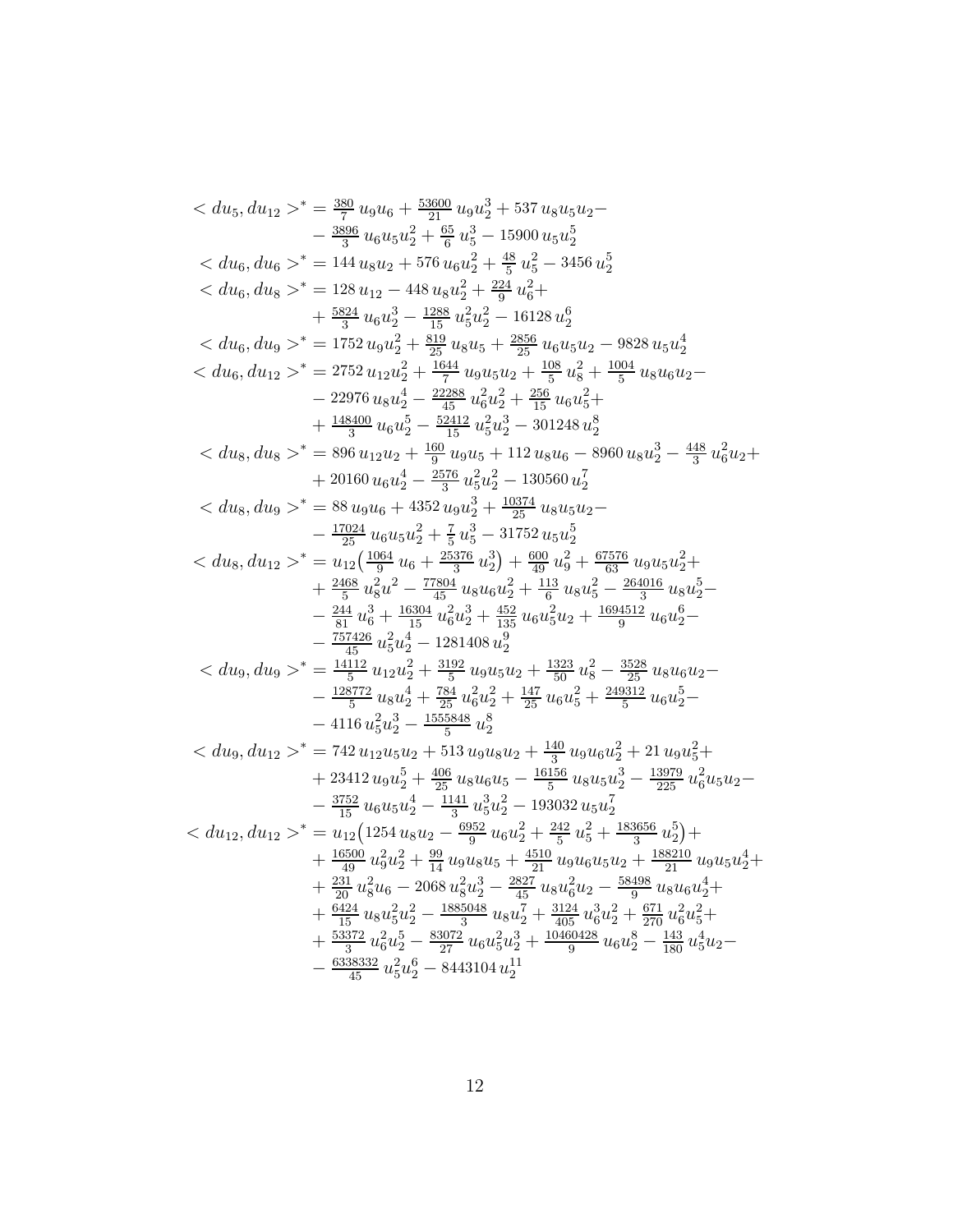$$
^* = \frac{389}{7}u_6u_6 + \frac{5360}{21}\cdot u_6u_2^3 + 537u_8u_5u_2 - \frac{3896}{7}u_6u_5u_2^2 + \frac{65}{6}u_5^3 - 15900\,u_5u_2^5
$$
  
\n
$$
^* = 144\,u_8u_2 + 576\,u_6u_2^2 + \frac{48}{5}u_5^2 - 3456\,u_2^5
$$
  
\n
$$
^* = 128\,u_{12} - 448\,u_8u_2^2 + \frac{234}{24}u_6^2 +
$$
  
\n
$$
+ \frac{5834}{3}\,u_6u_2^3 - \frac{1288}{15}\,u_5^2u_2^2 - 16128\,u_2^6
$$
  
\n
$$
^* = 1752\,u_9u_2^2 + \frac{819}{25}\,u_8u_5 + \frac{2856}{25}\,u_6u_5u_2 - 9828\,u_5u_2^4
$$
  
\n
$$
^* = 2752\,u_{12}u_2^2 + \frac{1644}{215}\,u_9u_5u_2 + \frac{108}{5}\,u_8^2 + \frac{1004}{5}\,u_8u_6u_2 -
$$
  
\n
$$
- 22976\,u_8u_2^4 - \frac{22288}{15}\,u_6^2u_2^2 + \frac{365}{15}\,u_6u_5^2 +
$$
  
\n
$$
+ \frac{44360}{30}\,u_6u_2^5 - \frac{52412}{15}\,u_6^2u_2^3 + \frac{367}{15}\,u_6u_6^2 +
$$
  
\n
$$
+ 20160\,u_6u_2^4 - \frac{2576}{35}\,u_6^2u_2^3 - 301248\,u_2^8
$$
  
\n
$$

$$